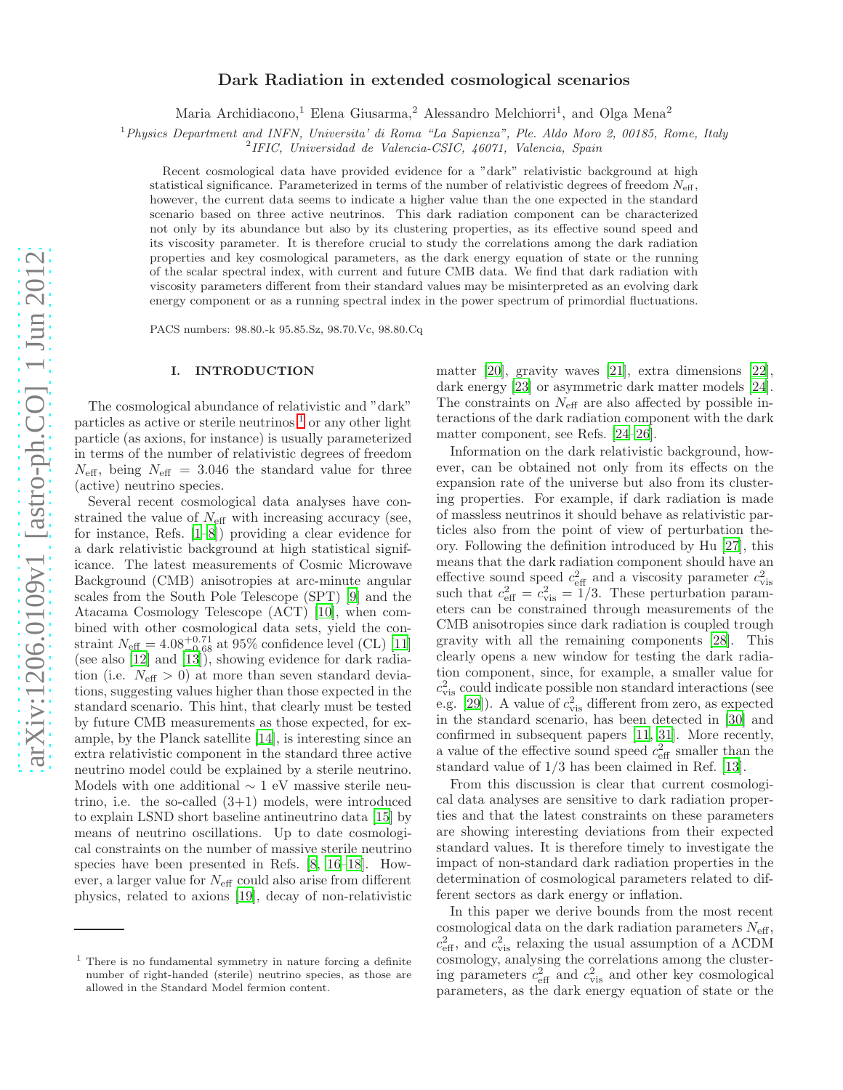# Dark Radiation in extended cosmological scenarios

Maria Archidiacono,<sup>1</sup> Elena Giusarma,<sup>2</sup> Alessandro Melchiorri<sup>1</sup>, and Olga Mena<sup>2</sup>

 $1$ Physics Department and INFN, Universita' di Roma "La Sapienza", Ple. Aldo Moro 2, 00185, Rome, Italy

2 IFIC, Universidad de Valencia-CSIC, 46071, Valencia, Spain

Recent cosmological data have provided evidence for a "dark" relativistic background at high statistical significance. Parameterized in terms of the number of relativistic degrees of freedom  $N_{\text{eff}}$ , however, the current data seems to indicate a higher value than the one expected in the standard scenario based on three active neutrinos. This dark radiation component can be characterized not only by its abundance but also by its clustering properties, as its effective sound speed and its viscosity parameter. It is therefore crucial to study the correlations among the dark radiation properties and key cosmological parameters, as the dark energy equation of state or the running of the scalar spectral index, with current and future CMB data. We find that dark radiation with viscosity parameters different from their standard values may be misinterpreted as an evolving dark energy component or as a running spectral index in the power spectrum of primordial fluctuations.

PACS numbers: 98.80.-k 95.85.Sz, 98.70.Vc, 98.80.Cq

### I. INTRODUCTION

The cosmological abundance of relativistic and "dark" particles as active or sterile neutrinos  $<sup>1</sup>$  $<sup>1</sup>$  $<sup>1</sup>$  or any other light</sup> particle (as axions, for instance) is usually parameterized in terms of the number of relativistic degrees of freedom  $N_{\text{eff}}$ , being  $N_{\text{eff}} = 3.046$  the standard value for three (active) neutrino species.

Several recent cosmological data analyses have constrained the value of  $N_{\text{eff}}$  with increasing accuracy (see, for instance, Refs. [\[1](#page-6-0)[–8](#page-6-1)]) providing a clear evidence for a dark relativistic background at high statistical significance. The latest measurements of Cosmic Microwave Background (CMB) anisotropies at arc-minute angular scales from the South Pole Telescope (SPT) [\[9](#page-6-2)] and the Atacama Cosmology Telescope (ACT) [\[10\]](#page-6-3), when combined with other cosmological data sets, yield the constraint  $N_{\text{eff}} = 4.08_{-0.68}^{+0.71}$  at 95% confidence level (CL) [\[11](#page-6-4)] (see also [\[12\]](#page-6-5) and [\[13\]](#page-6-6)), showing evidence for dark radiation (i.e.  $N_{\text{eff}} > 0$ ) at more than seven standard deviations, suggesting values higher than those expected in the standard scenario. This hint, that clearly must be tested by future CMB measurements as those expected, for example, by the Planck satellite [\[14\]](#page-6-7), is interesting since an extra relativistic component in the standard three active neutrino model could be explained by a sterile neutrino. Models with one additional  $\sim 1$  eV massive sterile neutrino, i.e. the so-called  $(3+1)$  models, were introduced to explain LSND short baseline antineutrino data [\[15\]](#page-6-8) by means of neutrino oscillations. Up to date cosmological constraints on the number of massive sterile neutrino species have been presented in Refs. [\[8](#page-6-1), [16](#page-6-9)[–18\]](#page-6-10). However, a larger value for  $N_{\text{eff}}$  could also arise from different physics, related to axions [\[19\]](#page-6-11), decay of non-relativistic

matter [\[20](#page-6-12)], gravity waves [\[21\]](#page-6-13), extra dimensions [\[22\]](#page-6-14), dark energy [\[23](#page-6-15)] or asymmetric dark matter models [\[24\]](#page-6-16). The constraints on  $N_{\text{eff}}$  are also affected by possible interactions of the dark radiation component with the dark matter component, see Refs. [\[24](#page-6-16)[–26\]](#page-6-17).

Information on the dark relativistic background, however, can be obtained not only from its effects on the expansion rate of the universe but also from its clustering properties. For example, if dark radiation is made of massless neutrinos it should behave as relativistic particles also from the point of view of perturbation theory. Following the definition introduced by Hu [\[27\]](#page-6-18), this means that the dark radiation component should have an effective sound speed  $c_{\text{eff}}^2$  and a viscosity parameter  $c_{\text{vis}}^2$ <br>such that  $c_{\text{eff}}^2 = c_{\text{vis}}^2 = 1/3$ . These perturbation parameters can be constrained through measurements of the CMB anisotropies since dark radiation is coupled trough gravity with all the remaining components [\[28\]](#page-6-19). This clearly opens a new window for testing the dark radiation component, since, for example, a smaller value for  $c_{\rm vis}^2$  could indicate possible non standard interactions (see e.g. [\[29\]](#page-6-20)). A value of  $c_{\text{vis}}^2$  different from zero, as expected in the standard scenario, has been detected in [\[30](#page-6-21)] and confirmed in subsequent papers [\[11,](#page-6-4) [31\]](#page-6-22). More recently, a value of the effective sound speed  $c_{\text{eff}}^2$  smaller than the standard value of 1/3 has been claimed in Ref. [\[13\]](#page-6-6).

From this discussion is clear that current cosmological data analyses are sensitive to dark radiation properties and that the latest constraints on these parameters are showing interesting deviations from their expected standard values. It is therefore timely to investigate the impact of non-standard dark radiation properties in the determination of cosmological parameters related to different sectors as dark energy or inflation.

In this paper we derive bounds from the most recent cosmological data on the dark radiation parameters  $N_{\text{eff}}$ ,  $c_{\text{eff}}^2$ , and  $c_{\text{vis}}^2$  relaxing the usual assumption of a  $\Lambda \text{CDM}$ cosmology, analysing the correlations among the clustering parameters  $c_{\text{eff}}^2$  and  $c_{\text{vis}}^2$  and other key cosmological parameters, as the dark energy equation of state or the

<span id="page-0-0"></span><sup>1</sup> There is no fundamental symmetry in nature forcing a definite number of right-handed (sterile) neutrino species, as those are allowed in the Standard Model fermion content.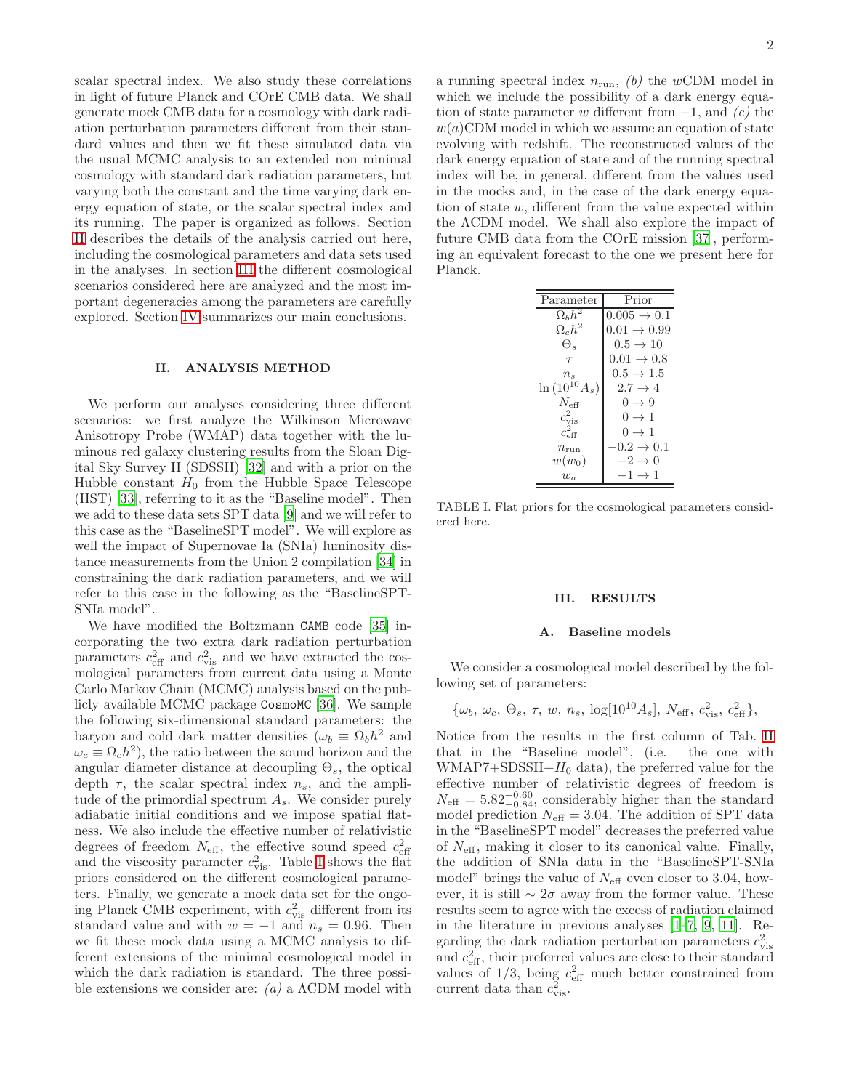scalar spectral index. We also study these correlations in light of future Planck and COrE CMB data. We shall generate mock CMB data for a cosmology with dark radiation perturbation parameters different from their standard values and then we fit these simulated data via the usual MCMC analysis to an extended non minimal cosmology with standard dark radiation parameters, but varying both the constant and the time varying dark energy equation of state, or the scalar spectral index and its running. The paper is organized as follows. Section [II](#page-1-0) describes the details of the analysis carried out here, including the cosmological parameters and data sets used in the analyses. In section [III](#page-1-1) the different cosmological scenarios considered here are analyzed and the most important degeneracies among the parameters are carefully explored. Section [IV](#page-5-0) summarizes our main conclusions.

#### <span id="page-1-0"></span>II. ANALYSIS METHOD

We perform our analyses considering three different scenarios: we first analyze the Wilkinson Microwave Anisotropy Probe (WMAP) data together with the luminous red galaxy clustering results from the Sloan Digital Sky Survey II (SDSSII) [\[32\]](#page-6-23) and with a prior on the Hubble constant  $H_0$  from the Hubble Space Telescope (HST) [\[33\]](#page-6-24), referring to it as the "Baseline model". Then we add to these data sets SPT data [\[9](#page-6-2)] and we will refer to this case as the "BaselineSPT model". We will explore as well the impact of Supernovae Ia (SNIa) luminosity distance measurements from the Union 2 compilation [\[34\]](#page-6-25) in constraining the dark radiation parameters, and we will refer to this case in the following as the "BaselineSPT-SNIa model".

We have modified the Boltzmann CAMB code [\[35](#page-6-26)] incorporating the two extra dark radiation perturbation parameters  $c_{\text{eff}}^2$  and  $c_{\text{vis}}^2$  and we have extracted the cosmological parameters from current data using a Monte Carlo Markov Chain (MCMC) analysis based on the publicly available MCMC package CosmoMC [\[36](#page-6-27)]. We sample the following six-dimensional standard parameters: the baryon and cold dark matter densities  $(\omega_b \equiv \Omega_b h^2)$  and  $\omega_c \equiv \Omega_c h^2$ , the ratio between the sound horizon and the angular diameter distance at decoupling  $\Theta_s$ , the optical depth  $\tau$ , the scalar spectral index  $n_s$ , and the amplitude of the primordial spectrum  $A_s$ . We consider purely adiabatic initial conditions and we impose spatial flatness. We also include the effective number of relativistic degrees of freedom  $N_{\text{eff}}$ , the effective sound speed  $c_{\text{eff}}^2$ and the viscosity parameter  $c_{\text{vis}}^2$ . Table [I](#page-1-2) shows the flat priors considered on the different cosmological parameters. Finally, we generate a mock data set for the ongoing Planck CMB experiment, with  $c_{\text{vis}}^2$  different from its standard value and with  $w = -1$  and  $n_s = 0.96$ . Then we fit these mock data using a MCMC analysis to different extensions of the minimal cosmological model in which the dark radiation is standard. The three possible extensions we consider are:  $(a)$  a  $\Lambda$ CDM model with

a running spectral index  $n_{run}$ , (b) the wCDM model in which we include the possibility of a dark energy equation of state parameter w different from  $-1$ , and  $(c)$  the  $w(a)$ CDM model in which we assume an equation of state evolving with redshift. The reconstructed values of the dark energy equation of state and of the running spectral index will be, in general, different from the values used in the mocks and, in the case of the dark energy equation of state w, different from the value expected within the ΛCDM model. We shall also explore the impact of future CMB data from the COrE mission [\[37](#page-6-28)], performing an equivalent forecast to the one we present here for Planck.

| Parameter           | Prior                   |
|---------------------|-------------------------|
| $\Omega_b h^2$      | $0.005 \to 0.1$         |
| $\Omega_c h^2$      | $0.01 \rightarrow 0.99$ |
| Θ.                  | $0.5 \rightarrow 10$    |
| $\tau$              | $0.01 \rightarrow 0.8$  |
| $n_{\rm s}$         | $0.5 \rightarrow 1.5$   |
| $\ln{(10^{10}A_s)}$ | $2.7 \rightarrow 4$     |
| $N_{\rm eff}$       | $0 \rightarrow 9$       |
| $c_{\rm vis}^2$     | $0 \rightarrow 1$       |
| $c_{\rm eff}^2$     | $0 \rightarrow 1$       |
| $n_{\text{run}}$    | $-0.2 \rightarrow 0.1$  |
| $w(w_0)$            | $-2 \rightarrow 0$      |
| $w_a$               | $-1 \rightarrow 1$      |

<span id="page-1-2"></span>TABLE I. Flat priors for the cosmological parameters considered here.

#### <span id="page-1-1"></span>III. RESULTS

#### A. Baseline models

We consider a cosmological model described by the following set of parameters:

$$
\{\omega_b, \, \omega_c, \, \Theta_s, \, \tau, \, w, \, n_s, \, \log[10^{10}A_s], \, N_{\text{eff}}, \, c_{\text{vis}}^2, \, c_{\text{eff}}^2\},\,
$$

Notice from the results in the first column of Tab. [II](#page-3-0) that in the "Baseline model", (i.e. the one with WMAP7+SDSSII+ $H_0$  data), the preferred value for the effective number of relativistic degrees of freedom is  $N_{\text{eff}} = 5.82_{-0.84}^{+0.60}$ , considerably higher than the standard model prediction  $N_{\text{eff}} = 3.04$ . The addition of SPT data in the "BaselineSPT model" decreases the preferred value of  $N_{\text{eff}}$ , making it closer to its canonical value. Finally, the addition of SNIa data in the "BaselineSPT-SNIa model" brings the value of  $N_{\text{eff}}$  even closer to 3.04, however, it is still  $\sim 2\sigma$  away from the former value. These results seem to agree with the excess of radiation claimed in the literature in previous analyses [\[1](#page-6-0)[–7](#page-6-29), [9,](#page-6-2) [11\]](#page-6-4). Regarding the dark radiation perturbation parameters  $c_{\rm vis}^2$ and  $c_{\text{eff}}^2$ , their preferred values are close to their standard values of  $1/3$ , being  $c_{\text{eff}}^2$  much better constrained from current data than  $c_{\text{vis}}^2$ .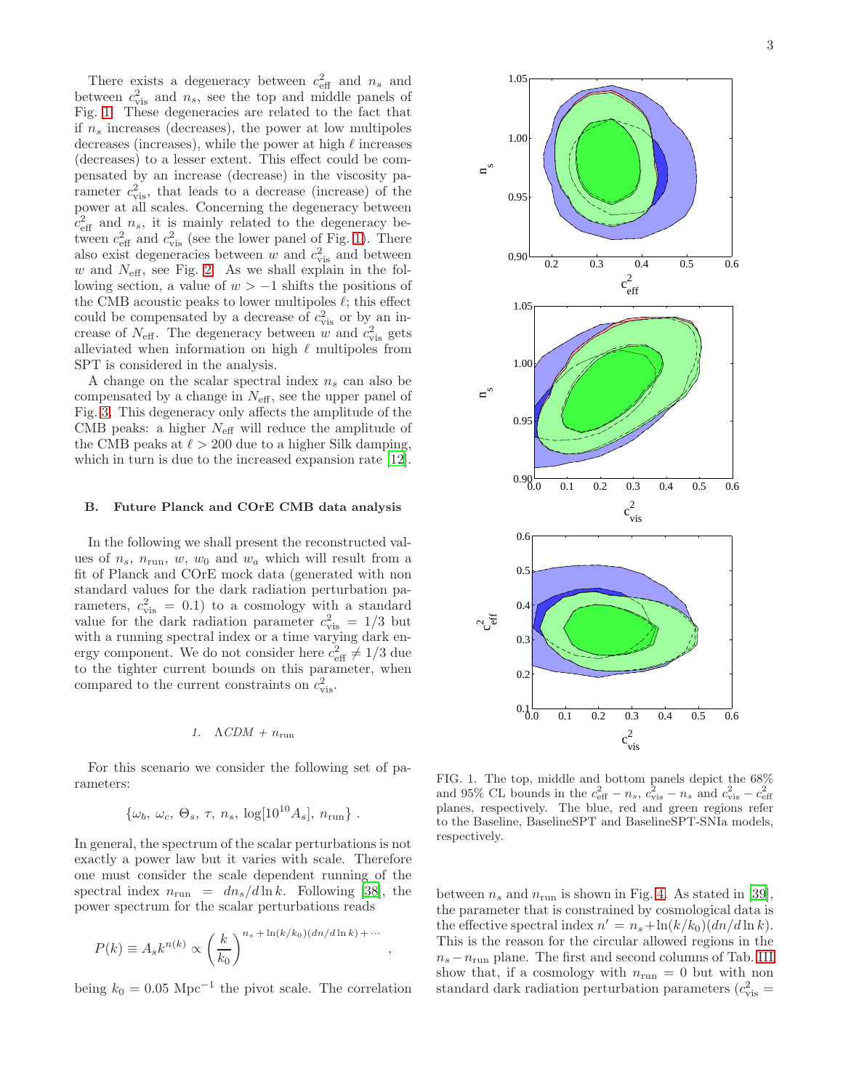There exists a degeneracy between  $c_{\text{eff}}^2$  and  $n_s$  and between  $c_{\text{vis}}^2$  and  $n_s$ , see the top and middle panels of Fig. [1.](#page-2-0) These degeneracies are related to the fact that if  $n_s$  increases (decreases), the power at low multipoles decreases (increases), while the power at high  $\ell$  increases (decreases) to a lesser extent. This effect could be compensated by an increase (decrease) in the viscosity parameter  $c_{\rm vis}^2$ , that leads to a decrease (increase) of the power at all scales. Concerning the degeneracy between  $c_{\text{eff}}^2$  and  $n_s$ , it is mainly related to the degeneracy between  $c_{\text{eff}}^2$  and  $c_{\text{vis}}^2$  (see the lower panel of Fig. [1\)](#page-2-0). There also exist degeneracies between  $w$  and  $c_{\text{vis}}^2$  and between  $w$  and  $N_{\text{eff}}$ , see Fig. [2.](#page-4-0) As we shall explain in the following section, a value of  $w > -1$  shifts the positions of the CMB acoustic peaks to lower multipoles  $\ell$ ; this effect could be compensated by a decrease of  $c_{\rm vis}^2$  or by an increase of  $N_{\text{eff}}$ . The degeneracy between w and  $c_{\text{vis}}^2$  gets alleviated when information on high  $\ell$  multipoles from SPT is considered in the analysis.

A change on the scalar spectral index  $n_s$  can also be compensated by a change in  $N_{\text{eff}}$ , see the upper panel of Fig. [3.](#page-4-1) This degeneracy only affects the amplitude of the CMB peaks: a higher  $N_{\text{eff}}$  will reduce the amplitude of the CMB peaks at  $\ell > 200$  due to a higher Silk damping, which in turn is due to the increased expansion rate [\[12\]](#page-6-5).

### B. Future Planck and COrE CMB data analysis

In the following we shall present the reconstructed values of  $n_s$ ,  $n_{run}$ ,  $w$ ,  $w_0$  and  $w_a$  which will result from a fit of Planck and COrE mock data (generated with non standard values for the dark radiation perturbation parameters,  $c_{\text{vis}}^2 = 0.1$ ) to a cosmology with a standard value for the dark radiation parameter  $c_{\rm vis}^2 = 1/3$  but with a running spectral index or a time varying dark energy component. We do not consider here  $c_{\text{eff}}^2 \neq 1/3$  due to the tighter current bounds on this parameter, when compared to the current constraints on  $c_{\text{vis}}^2$ .

#### 1.  $\Lambda CDM + n_{\text{run}}$

For this scenario we consider the following set of parameters:

$$
\{\omega_b, \omega_c, \Theta_s, \tau, n_s, \log[10^{10}A_s], n_{\text{run}}\}.
$$

In general, the spectrum of the scalar perturbations is not exactly a power law but it varies with scale. Therefore one must consider the scale dependent running of the spectral index  $n_{\text{run}} = dn_s/d \ln k$ . Following [\[38\]](#page-6-30), the power spectrum for the scalar perturbations reads

$$
P(k) \equiv A_s k^{n(k)} \propto \left(\frac{k}{k_0}\right)^{n_s + \ln(k/k_0)(dn/d\ln k) + \cdots},
$$

being  $k_0 = 0.05 \text{ Mpc}^{-1}$  the pivot scale. The correlation



<span id="page-2-0"></span>FIG. 1. The top, middle and bottom panels depict the 68% and 95% CL bounds in the  $c_{\text{eff}}^2 - n_s$ ,  $c_{\text{vis}}^2 - n_s$  and  $c_{\text{vis}}^2 - c_{\text{eff}}^2$ planes, respectively. The blue, red and green regions refer to the Baseline, BaselineSPT and BaselineSPT-SNIa models, respectively.

between  $n_s$  and  $n_{\text{run}}$  is shown in Fig. [4.](#page-4-2) As stated in [\[39\]](#page-6-31), the parameter that is constrained by cosmological data is the effective spectral index  $n' = n_s + \ln(k/k_0)(dn/d \ln k)$ . This is the reason for the circular allowed regions in the  $n_s - n_{run}$  plane. The first and second columns of Tab. [III](#page-3-1) show that, if a cosmology with  $n_{\text{run}} = 0$  but with non standard dark radiation perturbation parameters  $(c_{\text{vis}}^2 =$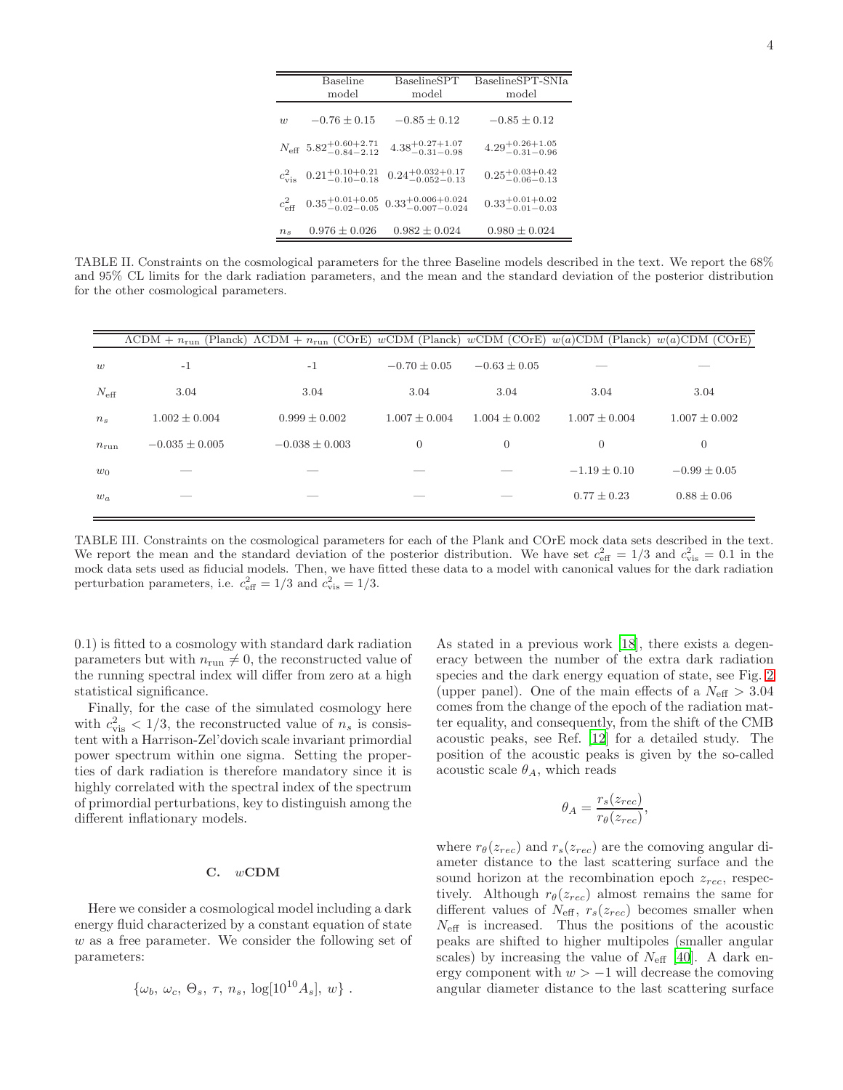|                 | <b>Baseline</b><br>model                           | BaselineSPT<br>model                                                  | BaselineSPT-SNIa<br>model        |  |
|-----------------|----------------------------------------------------|-----------------------------------------------------------------------|----------------------------------|--|
| $\overline{u}$  | $-0.76 \pm 0.15$                                   | $-0.85 \pm 0.12$                                                      | $-0.85 \pm 0.12$                 |  |
|                 | $N_{\text{eff}}$ 5.82 $^{+0.60+2.71}_{-0.84-2.12}$ | $4.38^{+0.27+1.07}_{-0.31-0.98}$                                      | $4.29^{+0.26+1.05}_{-0.31-0.96}$ |  |
|                 | $c_{\text{vis}}^2$ 0.21 <sup>+0.10+0.21</sup>      | $0.24^{+0.032+0.17}_{-0.052-0.13}$                                    | $0.25^{+0.03+0.42}_{-0.06-0.13}$ |  |
| $c_{\rm eff}^2$ |                                                    | $0.35^{+0.01+0.05}_{-0.02-0.05}$ $0.33^{+0.006+0.024}_{-0.007-0.024}$ | $0.33^{+0.01+0.02}_{-0.01-0.03}$ |  |
| $n_{s}$         | $0.976 \pm 0.026$                                  | $0.982 \pm 0.024$                                                     | $0.980 \pm 0.024$                |  |

<span id="page-3-0"></span>TABLE II. Constraints on the cosmological parameters for the three Baseline models described in the text. We report the 68% and 95% CL limits for the dark radiation parameters, and the mean and the standard deviation of the posterior distribution for the other cosmological parameters.

|                  | $\Lambda$ CDM + $n_{run}$ (Planck) $\Lambda$ CDM + $n_{run}$ (COrE) $wCDM$ (Planck) $wCDM$ (COrE) $w(a)CDM$ (Planck) $w(a)CDM$ (COrE) |                    |                  |                   |                   |                   |
|------------------|---------------------------------------------------------------------------------------------------------------------------------------|--------------------|------------------|-------------------|-------------------|-------------------|
| w                | $-1$                                                                                                                                  | $-1$               | $-0.70 \pm 0.05$ | $-0.63 + 0.05$    |                   |                   |
| $N_{\text{eff}}$ | 3.04                                                                                                                                  | 3.04               | 3.04             | 3.04              | 3.04              | 3.04              |
| $n_{s}$          | $1.002 \pm 0.004$                                                                                                                     | $0.999 \pm 0.002$  | $1.007 + 0.004$  | $1.004 \pm 0.002$ | $1.007 \pm 0.004$ | $1.007 \pm 0.002$ |
| $n_{\rm run}$    | $-0.035 \pm 0.005$                                                                                                                    | $-0.038 \pm 0.003$ | $\overline{0}$   | $\overline{0}$    | $\overline{0}$    | $\theta$          |
| $w_0$            | ___                                                                                                                                   |                    |                  |                   | $-1.19 \pm 0.10$  | $-0.99 \pm 0.05$  |
| $w_a$            | --                                                                                                                                    |                    |                  |                   | $0.77 \pm 0.23$   | $0.88 \pm 0.06$   |
|                  |                                                                                                                                       |                    |                  |                   |                   |                   |

<span id="page-3-1"></span>TABLE III. Constraints on the cosmological parameters for each of the Plank and COrE mock data sets described in the text. We report the mean and the standard deviation of the posterior distribution. We have set  $c_{\text{eff}}^2 = 1/3$  and  $c_{\text{vis}}^2 = 0.1$  in the mock data sets used as fiducial models. Then, we have fitted these data to a model with canonical values for the dark radiation perturbation parameters, i.e.  $c_{\text{eff}}^2 = 1/3$  and  $c_{\text{vis}}^2 = 1/3$ .

0.1) is fitted to a cosmology with standard dark radiation parameters but with  $n_{\text{run}} \neq 0$ , the reconstructed value of the running spectral index will differ from zero at a high statistical significance.

Finally, for the case of the simulated cosmology here with  $c_{\text{vis}}^2 < 1/3$ , the reconstructed value of  $n_s$  is consistent with a Harrison-Zel'dovich scale invariant primordial power spectrum within one sigma. Setting the properties of dark radiation is therefore mandatory since it is highly correlated with the spectral index of the spectrum of primordial perturbations, key to distinguish among the different inflationary models.

## C. wCDM

Here we consider a cosmological model including a dark energy fluid characterized by a constant equation of state w as a free parameter. We consider the following set of parameters:

$$
\{\omega_b, \omega_c, \Theta_s, \tau, n_s, \log[10^{10}A_s], w\}
$$
.

As stated in a previous work [\[18\]](#page-6-10), there exists a degeneracy between the number of the extra dark radiation species and the dark energy equation of state, see Fig. [2](#page-4-0) (upper panel). One of the main effects of a  $N_{\text{eff}} > 3.04$ comes from the change of the epoch of the radiation matter equality, and consequently, from the shift of the CMB acoustic peaks, see Ref. [\[12\]](#page-6-5) for a detailed study. The position of the acoustic peaks is given by the so-called acoustic scale  $\theta_A$ , which reads

$$
\theta_A = \frac{r_s(z_{rec})}{r_\theta(z_{rec})},
$$

where  $r_{\theta}(z_{rec})$  and  $r_s(z_{rec})$  are the comoving angular diameter distance to the last scattering surface and the sound horizon at the recombination epoch  $z_{rec}$ , respectively. Although  $r_{\theta}(z_{rec})$  almost remains the same for different values of  $N_{\text{eff}}$ ,  $r_s(z_{rec})$  becomes smaller when  $N_{\text{eff}}$  is increased. Thus the positions of the acoustic peaks are shifted to higher multipoles (smaller angular scales) by increasing the value of  $N_{\text{eff}}$  [\[40\]](#page-6-32). A dark energy component with  $w > -1$  will decrease the comoving angular diameter distance to the last scattering surface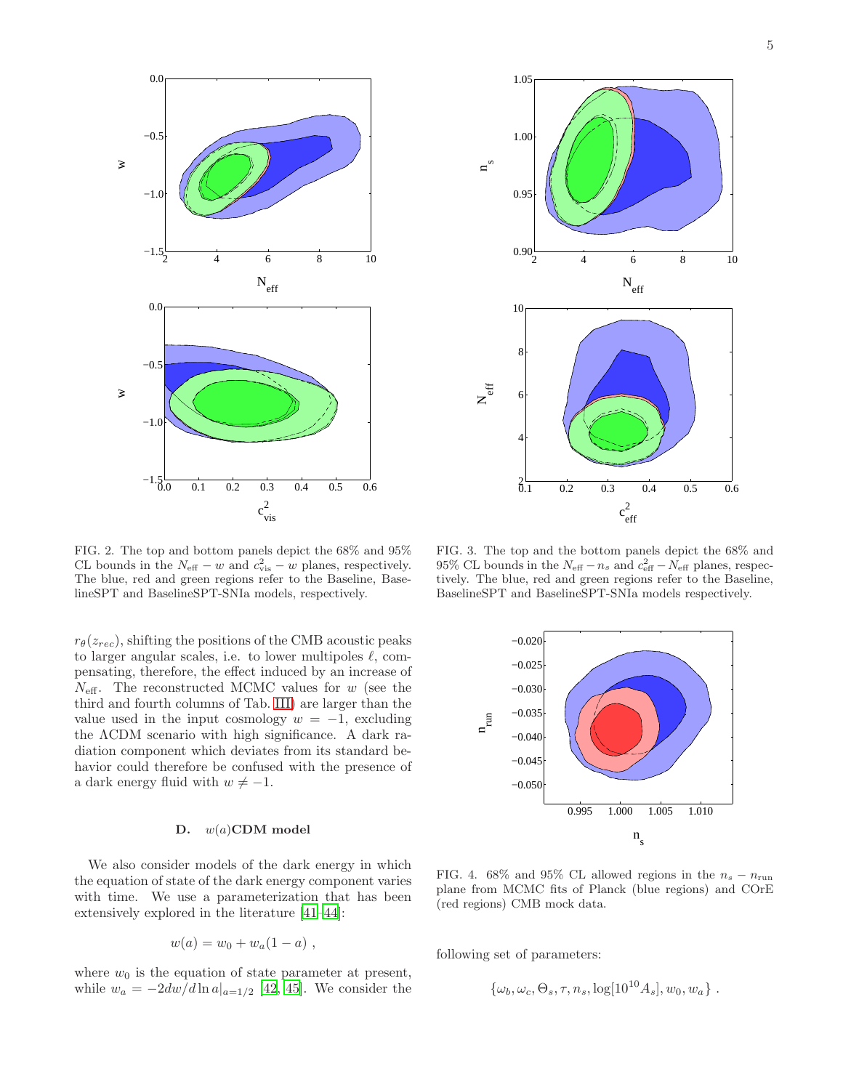

<span id="page-4-0"></span>FIG. 2. The top and bottom panels depict the 68% and 95% CL bounds in the  $N_{\text{eff}} - w$  and  $c_{\text{vis}}^2 - w$  planes, respectively. The blue, red and green regions refer to the Baseline, BaselineSPT and BaselineSPT-SNIa models, respectively.

 $r_{\theta}(z_{rec})$ , shifting the positions of the CMB acoustic peaks to larger angular scales, i.e. to lower multipoles  $\ell$ , compensating, therefore, the effect induced by an increase of  $N_{\text{eff}}$ . The reconstructed MCMC values for w (see the third and fourth columns of Tab. [III\)](#page-3-1) are larger than the value used in the input cosmology  $w = -1$ , excluding the ΛCDM scenario with high significance. A dark radiation component which deviates from its standard behavior could therefore be confused with the presence of a dark energy fluid with  $w \neq -1$ .

### D. w(a)CDM model

We also consider models of the dark energy in which the equation of state of the dark energy component varies with time. We use a parameterization that has been extensively explored in the literature [\[41](#page-6-33)[–44\]](#page-6-34):

$$
w(a) = w_0 + w_a(1 - a) ,
$$

where  $w_0$  is the equation of state parameter at present, while  $w_a = -2dw/d \ln a|_{a=1/2}$  [\[42](#page-6-35), [45\]](#page-6-36). We consider the



<span id="page-4-1"></span>FIG. 3. The top and the bottom panels depict the 68% and 95% CL bounds in the  $N_{\text{eff}} - n_s$  and  $c_{\text{eff}}^2 - N_{\text{eff}}$  planes, respectively. The blue, red and green regions refer to the Baseline, BaselineSPT and BaselineSPT-SNIa models respectively.



<span id="page-4-2"></span>FIG. 4. 68% and 95% CL allowed regions in the  $n_s - n_{\text{run}}$ plane from MCMC fits of Planck (blue regions) and COrE (red regions) CMB mock data.

following set of parameters:

$$
\{\omega_b, \omega_c, \Theta_s, \tau, n_s, \log[10^{10}A_s], w_0, w_a\}.
$$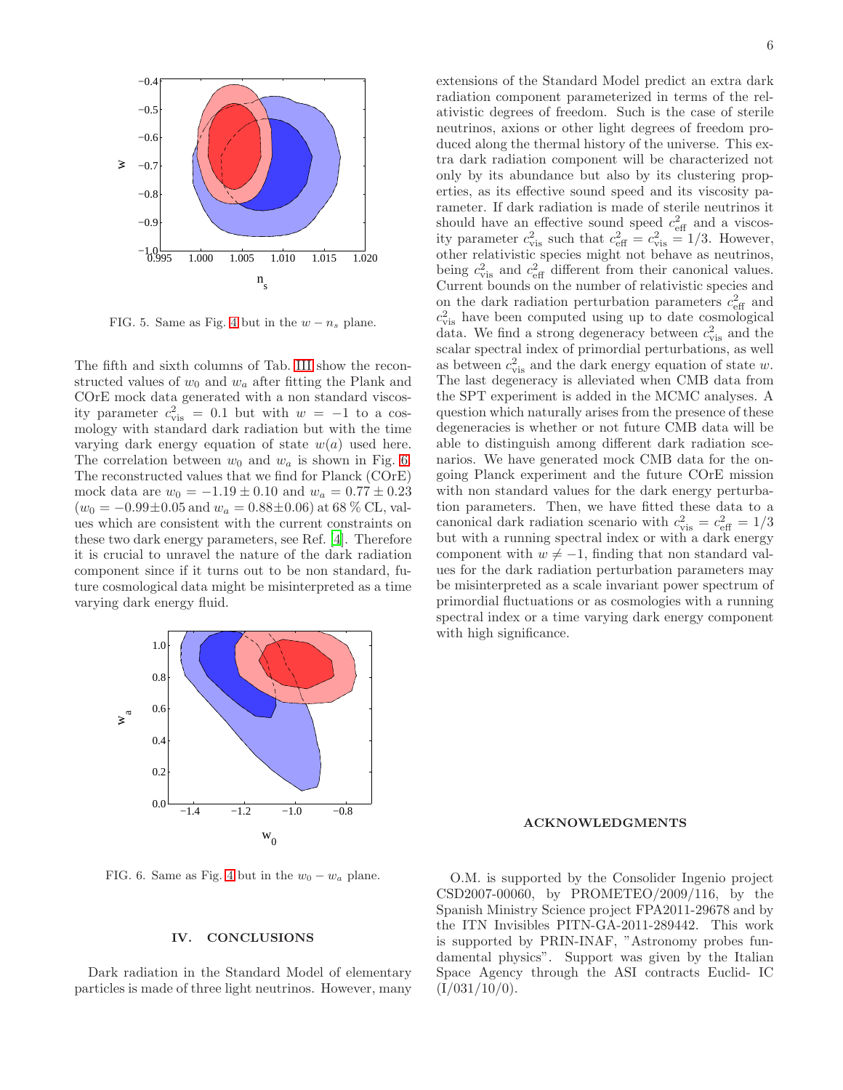

FIG. 5. Same as Fig. [4](#page-4-2) but in the  $w - n_s$  plane.

The fifth and sixth columns of Tab. [III](#page-3-1) show the reconstructed values of  $w_0$  and  $w_a$  after fitting the Plank and COrE mock data generated with a non standard viscosity parameter  $c_{\text{vis}}^2 = 0.1$  but with  $w = -1$  to a cosmology with standard dark radiation but with the time varying dark energy equation of state  $w(a)$  used here. The correlation between  $w_0$  and  $w_a$  is shown in Fig. [6.](#page-5-1) The reconstructed values that we find for Planck (COrE) mock data are  $w_0 = -1.19 \pm 0.10$  and  $w_a = 0.77 \pm 0.23$  $(w_0 = -0.99 \pm 0.05 \text{ and } w_a = 0.88 \pm 0.06) \text{ at } 68\% \text{ CL, val-}$ ues which are consistent with the current constraints on these two dark energy parameters, see Ref. [\[4\]](#page-6-37). Therefore it is crucial to unravel the nature of the dark radiation component since if it turns out to be non standard, future cosmological data might be misinterpreted as a time varying dark energy fluid.

extensions of the Standard Model predict an extra dark radiation component parameterized in terms of the relativistic degrees of freedom. Such is the case of sterile neutrinos, axions or other light degrees of freedom produced along the thermal history of the universe. This extra dark radiation component will be characterized not only by its abundance but also by its clustering properties, as its effective sound speed and its viscosity parameter. If dark radiation is made of sterile neutrinos it should have an effective sound speed  $c_{\text{eff}}^2$  and a viscosity parameter  $c_{\rm vis}^2$  such that  $c_{\rm eff}^2 = c_{\rm vis}^2 = 1/3$ . However, other relativistic species might not behave as neutrinos, being  $c_{\text{vis}}^2$  and  $c_{\text{eff}}^2$  different from their canonical values. Current bounds on the number of relativistic species and on the dark radiation perturbation parameters  $c_{\text{eff}}^2$  and  $c_{\text{vis}}^2$  have been computed using up to date cosmological data. We find a strong degeneracy between  $c_{\rm vis}^2$  and the scalar spectral index of primordial perturbations, as well as between  $c_{\text{vis}}^2$  and the dark energy equation of state w. The last degeneracy is alleviated when CMB data from the SPT experiment is added in the MCMC analyses. A question which naturally arises from the presence of these degeneracies is whether or not future CMB data will be able to distinguish among different dark radiation scenarios. We have generated mock CMB data for the ongoing Planck experiment and the future COrE mission with non standard values for the dark energy perturbation parameters. Then, we have fitted these data to a canonical dark radiation scenario with  $c_{\text{vis}}^2 = c_{\text{eff}}^2 = 1/3$ but with a running spectral index or with a dark energy component with  $w \neq -1$ , finding that non standard values for the dark radiation perturbation parameters may be misinterpreted as a scale invariant power spectrum of primordial fluctuations or as cosmologies with a running spectral index or a time varying dark energy component with high significance.



<span id="page-5-1"></span>FIG. 6. Same as Fig. [4](#page-4-2) but in the  $w_0 - w_a$  plane.

## <span id="page-5-0"></span>IV. CONCLUSIONS

Dark radiation in the Standard Model of elementary particles is made of three light neutrinos. However, many

#### ACKNOWLEDGMENTS

O.M. is supported by the Consolider Ingenio project CSD2007-00060, by PROMETEO/2009/116, by the Spanish Ministry Science project FPA2011-29678 and by the ITN Invisibles PITN-GA-2011-289442. This work is supported by PRIN-INAF, "Astronomy probes fundamental physics". Support was given by the Italian Space Agency through the ASI contracts Euclid- IC  $(I/031/10/0)$ .